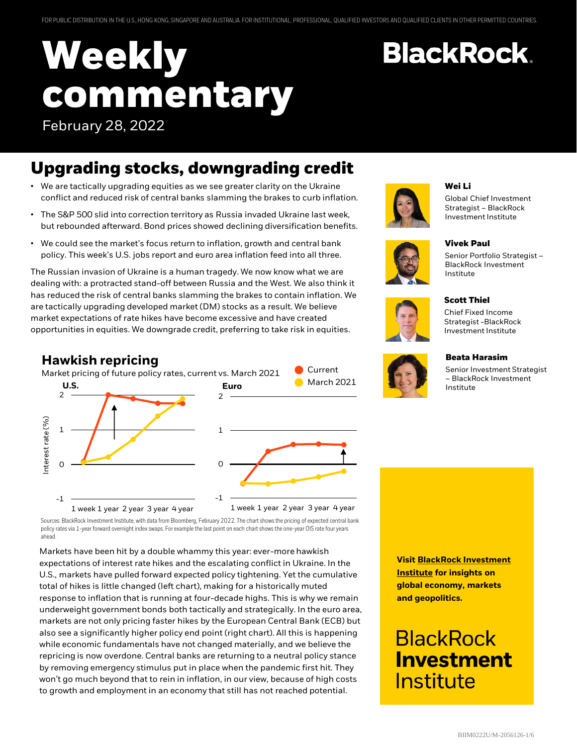# **Weekly commentary** February 28, 2022

# **Upgrading stocks, downgrading credit**

- We are tactically upgrading equities as we see greater clarity on the Ukraine conflict and reduced risk of central banks slamming the brakes to curb inflation.
- The S&P 500 slid into correction territory as Russia invaded Ukraine last week, but rebounded afterward. Bond prices showed declining diversification benefits.
- We could see the market's focus return to inflation, growth and central bank policy. This week's U.S. jobs report and euro area inflation feed into all three.

The Russian invasion of Ukraine is a human tragedy. We now know what we are dealing with: a protracted stand-off between Russia and the West. We also think it has reduced the risk of central banks slamming the brakes to contain inflation. We are tactically upgrading developed market (DM) stocks as a result. We believe market expectations of rate hikes have become excessive and have created opportunities in equities. We downgrade credit, preferring to take risk in equities.

#### **Hawkish repricing**



Sources: BlackRock Investment Institute, with data from Bloomberg, February 2022. The chart shows the pricing of expected central bank policy rates via 1-year forward overnight index swaps. For example the last point on each chart shows the one-year OIS rate fouryears ahead.

Markets have been hit by a double whammy this year: ever-more hawkish expectations of interest rate hikes and the escalating conflict in Ukraine. In the U.S., markets have pulled forward expected policy tightening. Yet the cumulative total of hikes is little changed (left chart), making for a historically muted response to inflation that is running at four-decade highs. This is why we remain underweight government bonds both tactically and strategically. In the euro area, markets are not only pricing faster hikes by the European Central Bank (ECB) but also see a significantly higher policy end point (right chart). All this is happening while economic fundamentals have not changed materially, and we believe the repricing is now overdone. Central banks are returning to a neutral policy stance by removing emergency stimulus put in place when the pandemic first hit. They won't go much beyond that to rein in inflation, in our view, because of high costs to growth and employment in an economy that still has not reached potential.



#### **Wei Li**

**BlackRock.** 

Global Chief Investment Strategist – BlackRock Investment Institute

Senior Portfolio Strategist – BlackRock Investment



#### **Scott Thiel**

Institute

**Vivek Paul**

Chief Fixed Income Strategist -BlackRock Investment Institute



#### **Beata Harasim**

Senior Investment Strategist – BlackRock Investment Institute

**[Visit BlackRock Investment](https://www.blackrock.com/corporate/insights/blackrock-investment-institute) Institute for insights on global economy, markets and geopolitics.**

# **BlackRock Investment** Institute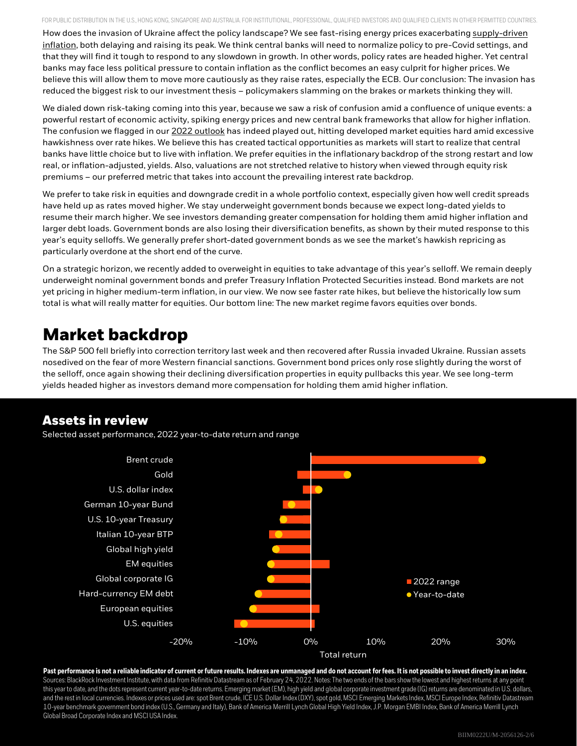FOR PUBLIC DISTRIBUTION IN THE U.S., HONG KONG, SINGAPORE AND AUSTRALIA. FOR INSTITUTIONAL, PROFESSIONAL, QUALIFIED INVESTORS AND QUALIFIED CLIENTS IN OTHER PERMITTED COUNTRIES. How does the invasion of Ukraine affect the policy landscape? We see fast-rising energy prices exacerbating supply-driven [inflation, both delaying and raising its peak. We think central banks will need to normalize policy to pre-Covid settings, and](https://www.blackrock.com/corporate/insights/blackrock-investment-institute/publications/global-macro-outlook)  that they will find it tough to respond to any slowdown in growth. In other words, policy rates are headed higher. Yet central banks may face less political pressure to contain inflation as the conflict becomes an easy culprit for higher prices. We believe this will allow them to move more cautiously as they raise rates, especially the ECB. Our conclusion: The invasion has reduced the biggest risk to our investment thesis – policymakers slamming on the brakes or markets thinking they will.

We dialed down risk-taking coming into this year, because we saw a risk of confusion amid a confluence of unique events: a powerful restart of economic activity, spiking energy prices and new central bank frameworks that allow for higher inflation. The confusion we flagged in our [2022 outlook](https://www.blackrock.com/corporate/insights/blackrock-investment-institute/publications/outlook) has indeed played out, hitting developed market equities hard amid excessive hawkishness over rate hikes. We believe this has created tactical opportunities as markets will start to realize that central banks have little choice but to live with inflation. We prefer equities in the inflationary backdrop of the strong restart and low real, or inflation-adjusted, yields. Also, valuations are not stretched relative to history when viewed through equity risk premiums – our preferred metric that takes into account the prevailing interest rate backdrop.

We prefer to take risk in equities and downgrade credit in a whole portfolio context, especially given how well credit spreads have held up as rates moved higher. We stay underweight government bonds because we expect long-dated yields to resume their march higher. We see investors demanding greater compensation for holding them amid higher inflation and larger debt loads. Government bonds are also losing their diversification benefits, as shown by their muted response to this year's equity selloffs. We generally prefer short-dated government bonds as we see the market's hawkish repricing as particularly overdone at the short end of the curve.

On a strategic horizon, we recently added to overweight in equities to take advantage of this year's selloff. We remain deeply underweight nominal government bonds and prefer Treasury Inflation Protected Securities instead. Bond markets are not yet pricing in higher medium-term inflation, in our view. We now see faster rate hikes, but believe the historically low sum total is what will really matter for equities. Our bottom line: The new market regime favors equities over bonds.

### **Market backdrop**

The S&P 500 fell briefly into correction territory last week and then recovered after Russia invaded Ukraine. Russian assets nosedived on the fear of more Western financial sanctions. Government bond prices only rose slightly during the worst of the selloff, once again showing their declining diversification properties in equity pullbacks this year. We see long-term yields headed higher as investors demand more compensation for holding them amid higher inflation.

### **Assets in review**

Selected asset performance, 2022 year-to-date return and range



#### **Past performance is not a reliable indicator of current or future results. Indexes are unmanaged and do not account for fees. It is not possible to invest directly in an index.**

Sources: BlackRock Investment Institute, with data from Refinitiv Datastream as of February 24, 2022. Notes: The two ends of the bars show the lowest and highest returns at any point this year to date, and the dots represent current year-to-date returns. Emerging market (EM), high yield and global corporate investment grade (IG) returns are denominated in U.S. dollars, and the rest in local currencies. Indexes or prices used are: spot Brent crude, ICE U.S. Dollar Index (DXY), spot gold, MSCI Emerging Markets Index, MSCI Europe Index, Refinitiv Datastream 10-year benchmark government bond index (U.S., Germany and Italy), Bank of America Merrill Lynch Global High Yield Index, J.P. Morgan EMBI Index, Bank of America Merrill Lynch Global Broad Corporate Index and MSCI USA Index.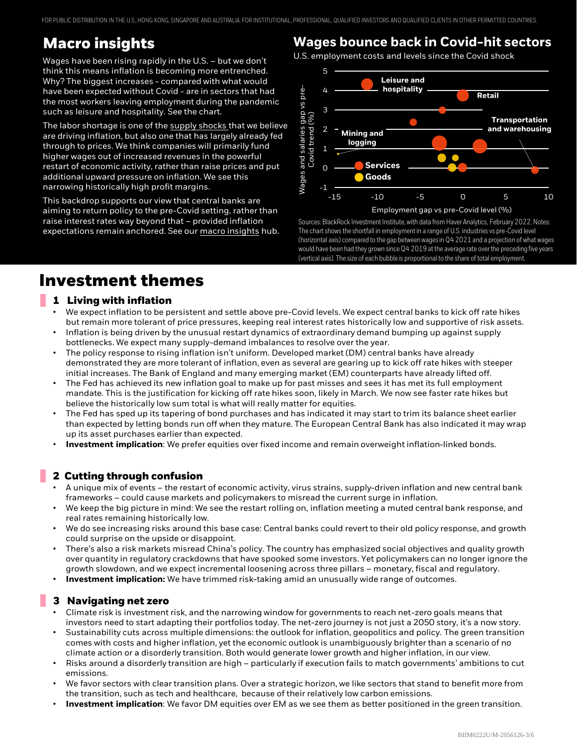FOR PUBLIC DISTRIBUTION IN THE U.S., HONG KONG, SINGAPORE AND AUSTRALIA. FOR INSTITUTIONAL, PROFESSIONAL, QUALIFIED INVESTORS AND QUALIFIED CLIENTS IN OTHER PERMITTED COUNTRIES.

### **Macro insights**

Wages have been rising rapidly in the U.S. – but we don't think this means inflation is becoming more entrenched. Why? The biggest increases - compared with what would have been expected without Covid - are in sectors that had the most workers leaving employment during the pandemic such as leisure and hospitality. See the chart.

The labor shortage is one of the [supply shocks t](https://www.blackrock.com/corporate/insights/blackrock-investment-institute/publications/global-macro-outlook)hat we believe are driving inflation, but also one that has largely already fed through to prices. We think companies will primarily fund higher wages out of increased revenues in the powerful restart of economic activity, rather than raise prices and put additional upward pressure on inflation. We see this narrowing historically high profit margins.

This backdrop supports our view that central banks are aiming to return policy to the pre-Covid setting, rather than raise interest rates way beyond that – provided inflation expectations remain anchored. See our [macro insights](https://www.blackrock.com/corporate/insights/blackrock-investment-institute/macro-insights) hub.

### **Wages bounce back in Covid-hit sectors**

U.S. employment costs and levels since the Covid shock



Sources: BlackRock Investment Institute, with data from Haver Analytics, February 2022. Notes: The chart shows the shortfall in employment in a range of U.S. industries vs pre-Covid level (horizontal axis) compared to the gap between wages in Q4 2021 and a projection of what wages would have been had they grown since Q4 2019 at the average rate over the preceding five years (vertical axis). The size of each bubble is proportional to the share of total employment.

### **Investment themes**

#### **1 Living with inflation**

- We expect inflation to be persistent and settle above pre-Covid levels. We expect central banks to kick off rate hikes but remain more tolerant of price pressures, keeping real interest rates historically low and supportive of risk assets.
- Inflation is being driven by the unusual restart dynamics of extraordinary demand bumping up against supply bottlenecks. We expect many supply-demand imbalances to resolve over the year.
- The policy response to rising inflation isn't uniform. Developed market (DM) central banks have already demonstrated they are more tolerant of inflation, even as several are gearing up to kick off rate hikes with steeper initial increases. The Bank of England and many emerging market (EM) counterparts have already lifted off.
- The Fed has achieved its new inflation goal to make up for past misses and sees it has met its full employment mandate. This is the justification for kicking off rate hikes soon, likely in March. We now see faster rate hikes but believe the historically low sum total is what will really matter for equities.
- The Fed has sped up its tapering of bond purchases and has indicated it may start to trim its balance sheet earlier than expected by letting bonds run off when they mature. The European Central Bank has also indicated it may wrap up its asset purchases earlier than expected.
- **Investment implication**: We prefer equities over fixed income and remain overweight inflation-linked bonds.

#### **2 Cutting through confusion**

- A unique mix of events the restart of economic activity, virus strains, supply-driven inflation and new central bank frameworks – could cause markets and policymakers to misread the current surge in inflation.
- We keep the big picture in mind: We see the restart rolling on, inflation meeting a muted central bank response, and real rates remaining historically low.
- We do see increasing risks around this base case: Central banks could revert to their old policy response, and growth could surprise on the upside or disappoint.
- There's also a risk markets misread China's policy. The country has emphasized social objectives and quality growth over quantity in regulatory crackdowns that have spooked some investors. Yet policymakers can no longer ignore the growth slowdown, and we expect incremental loosening across three pillars – monetary, fiscal and regulatory.
- **Investment implication:** We have trimmed risk-taking amid an unusually wide range of outcomes.

#### **3 Navigating net zero**

- Climate risk is investment risk, and the narrowing window for governments to reach net-zero goals means that investors need to start adapting their portfolios today. The net-zero journey is not just a 2050 story, it's a now story.
- Sustainability cuts across multiple dimensions: the outlook for inflation, geopolitics and policy. The green transition comes with costs and higher inflation, yet the economic outlook is unambiguously brighter than a scenario of no climate action or a disorderly transition. Both would generate lower growth and higher inflation, in our view.
- Risks around a disorderly transition are high particularly if execution fails to match governments' ambitions to cut emissions.
- We favor sectors with clear transition plans. Over a strategic horizon, we like sectors that stand to benefit more from the transition, such as tech and healthcare, because of their relatively low carbon emissions.
- **Investment implication**: We favor DM equities over EM as we see them as better positioned in the green transition.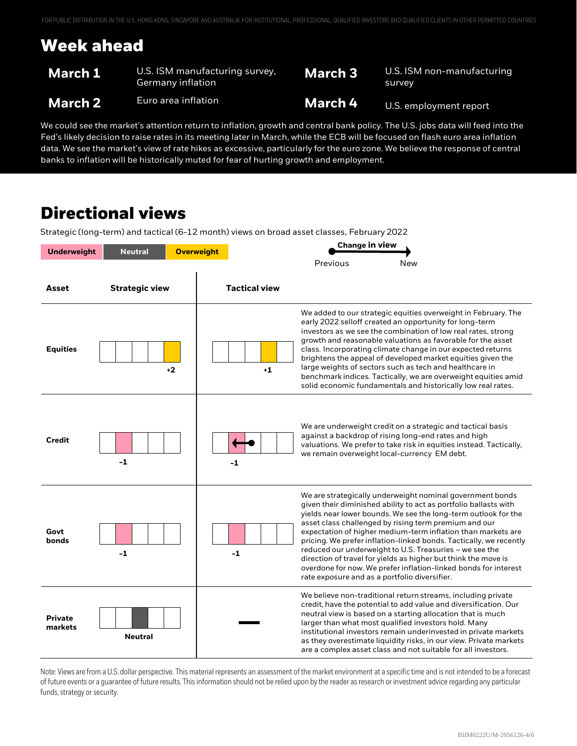## **Week ahead**

| <b>March 1</b> | U.S. ISM manufacturing survey,<br>Germany inflation \ | <b>March 3</b> | U.S. ISM non-manufacturing<br>survey |
|----------------|-------------------------------------------------------|----------------|--------------------------------------|
| <b>March 2</b> | Euro area inflation                                   | <b>March 4</b> | U.S. employment report               |

We could see the market's attention return to inflation, growth and central bank policy. The U.S. jobs data will feed into the Fed's likely decision to raise rates in its meeting later in March, while the ECB will be focused on flash euro area inflation data. We see the market's view of rate hikes as excessive, particularly for the euro zone. We believe the response of central banks to inflation will be historically muted for fear of hurting growth and employment.

### **Directional views**

Strategic (long-term) and tactical (6-12 month) views on broad asset classes, February 2022

| <b>Underweight</b><br><b>Neutral</b> |                       | <b>Overweight</b> |                      | <b>Change in view</b>                         |                                                                                                                                                                                                                                                                                                                                                                                                                                                                                                                                                                                                |
|--------------------------------------|-----------------------|-------------------|----------------------|-----------------------------------------------|------------------------------------------------------------------------------------------------------------------------------------------------------------------------------------------------------------------------------------------------------------------------------------------------------------------------------------------------------------------------------------------------------------------------------------------------------------------------------------------------------------------------------------------------------------------------------------------------|
|                                      |                       |                   |                      | Previous                                      | New                                                                                                                                                                                                                                                                                                                                                                                                                                                                                                                                                                                            |
| Asset                                | <b>Strategic view</b> |                   | <b>Tactical view</b> |                                               |                                                                                                                                                                                                                                                                                                                                                                                                                                                                                                                                                                                                |
| <b>Equities</b>                      |                       | $+2$              | $+1$                 |                                               | We added to our strategic equities overweight in February. The<br>early 2022 selloff created an opportunity for long-term<br>investors as we see the combination of low real rates, strong<br>growth and reasonable valuations as favorable for the asset<br>class. Incorporating climate change in our expected returns<br>brightens the appeal of developed market equities given the<br>large weights of sectors such as tech and healthcare in<br>benchmark indices. Tactically, we are overweight equities amid<br>solid economic fundamentals and historically low real rates.           |
| <b>Credit</b>                        | $-1$                  |                   | $-1$                 |                                               | We are underweight credit on a strategic and tactical basis<br>against a backdrop of rising long-end rates and high<br>valuations. We prefer to take risk in equities instead. Tactically,<br>we remain overweight local-currency EM debt.                                                                                                                                                                                                                                                                                                                                                     |
| Govt<br>bonds                        | $-1$                  |                   | $-1$                 | rate exposure and as a portfolio diversifier. | We are strategically underweight nominal government bonds<br>given their diminished ability to act as portfolio ballasts with<br>yields near lower bounds. We see the long-term outlook for the<br>asset class challenged by rising term premium and our<br>expectation of higher medium-term inflation than markets are<br>pricing. We prefer inflation-linked bonds. Tactically, we recently<br>reduced our underweight to U.S. Treasuries - we see the<br>direction of travel for yields as higher but think the move is<br>overdone for now. We prefer inflation-linked bonds for interest |
| <b>Private</b><br>markets            | <b>Neutral</b>        |                   |                      |                                               | We believe non-traditional return streams, including private<br>credit, have the potential to add value and diversification. Our<br>neutral view is based on a starting allocation that is much<br>larger than what most qualified investors hold. Many<br>institutional investors remain underinvested in private markets<br>as they overestimate liquidity risks, in our view. Private markets<br>are a complex asset class and not suitable for all investors.                                                                                                                              |

Note: Views are from a U.S. dollar perspective. This material represents an assessment of the market environment at a specific time and is not intended to be a forecast of future events or a guarantee of future results. This information should not be relied upon by the reader as research or investment advice regarding any particular funds, strategy or security.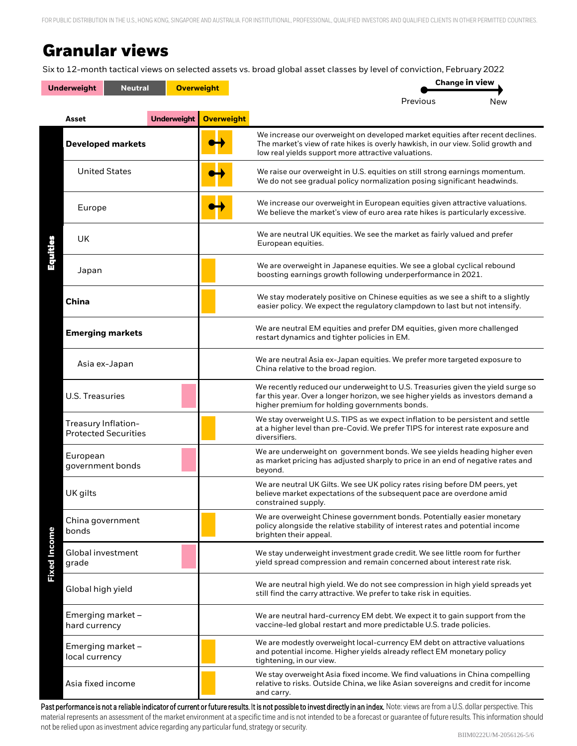FOR PUBLIC DISTRIBUTION IN THE U.S., HONG KONG, SINGAPORE AND AUSTRALIA. FOR INSTITUTIONAL, PROFESSIONAL, QUALIFIED INVESTORS AND QUALIFIED CLIENTS IN OTHER PERMITTED COUNTRIES.

### **Granular views**

Six to 12-month tactical views on selected assets vs. broad global asset classes by level of conviction, February 2022

|                     | <b>Underweight</b><br><b>Neutral</b>               | <b>Overweight</b>  |                   | <b>Change in view</b>                                                                                                                                                                                                     |     |  |
|---------------------|----------------------------------------------------|--------------------|-------------------|---------------------------------------------------------------------------------------------------------------------------------------------------------------------------------------------------------------------------|-----|--|
|                     |                                                    |                    |                   | Previous                                                                                                                                                                                                                  | New |  |
|                     | Asset                                              | <b>Underweight</b> | <b>Overweight</b> |                                                                                                                                                                                                                           |     |  |
|                     | <b>Developed markets</b>                           |                    |                   | We increase our overweight on developed market equities after recent declines.<br>The market's view of rate hikes is overly hawkish, in our view. Solid growth and<br>low real yields support more attractive valuations. |     |  |
|                     | <b>United States</b>                               |                    |                   | We raise our overweight in U.S. equities on still strong earnings momentum.<br>We do not see gradual policy normalization posing significant headwinds.                                                                   |     |  |
|                     | Europe                                             |                    |                   | We increase our overweight in European equities given attractive valuations.<br>We believe the market's view of euro area rate hikes is particularly excessive.                                                           |     |  |
| Equities            | UK                                                 |                    |                   | We are neutral UK equities. We see the market as fairly valued and prefer<br>European equities.                                                                                                                           |     |  |
|                     | Japan                                              |                    |                   | We are overweight in Japanese equities. We see a global cyclical rebound<br>boosting earnings growth following underperformance in 2021.                                                                                  |     |  |
|                     | <b>China</b>                                       |                    |                   | We stay moderately positive on Chinese equities as we see a shift to a slightly<br>easier policy. We expect the regulatory clampdown to last but not intensify.                                                           |     |  |
|                     | <b>Emerging markets</b>                            |                    |                   | We are neutral EM equities and prefer DM equities, given more challenged<br>restart dynamics and tighter policies in EM.                                                                                                  |     |  |
|                     | Asia ex-Japan                                      |                    |                   | We are neutral Asia ex-Japan equities. We prefer more targeted exposure to<br>China relative to the broad region.                                                                                                         |     |  |
|                     | U.S. Treasuries                                    |                    |                   | We recently reduced our underweight to U.S. Treasuries given the yield surge so<br>far this year. Over a longer horizon, we see higher yields as investors demand a<br>higher premium for holding governments bonds.      |     |  |
|                     | Treasury Inflation-<br><b>Protected Securities</b> |                    |                   | We stay overweight U.S. TIPS as we expect inflation to be persistent and settle<br>at a higher level than pre-Covid. We prefer TIPS for interest rate exposure and<br>diversifiers.                                       |     |  |
|                     | European<br>government bonds                       |                    |                   | We are underweight on government bonds. We see yields heading higher even<br>as market pricing has adjusted sharply to price in an end of negative rates and<br>beyond.                                                   |     |  |
|                     | UK gilts                                           |                    |                   | We are neutral UK Gilts. We see UK policy rates rising before DM peers, yet<br>believe market expectations of the subsequent pace are overdone amid<br>constrained supply.                                                |     |  |
|                     | China government<br>bonds                          |                    |                   | We are overweight Chinese government bonds. Potentially easier monetary<br>policy alongside the relative stability of interest rates and potential income<br>brighten their appeal.                                       |     |  |
| <b>Fixed Income</b> | Global investment<br>grade                         |                    |                   | We stay underweight investment grade credit. We see little room for further<br>yield spread compression and remain concerned about interest rate risk.                                                                    |     |  |
|                     | Global high yield                                  |                    |                   | We are neutral high yield. We do not see compression in high yield spreads yet<br>still find the carry attractive. We prefer to take risk in equities.                                                                    |     |  |
|                     | Emerging market -<br>hard currency                 |                    |                   | We are neutral hard-currency EM debt. We expect it to gain support from the<br>vaccine-led global restart and more predictable U.S. trade policies.                                                                       |     |  |
|                     | Emerging market -<br>local currency                |                    |                   | We are modestly overweight local-currency EM debt on attractive valuations<br>and potential income. Higher yields already reflect EM monetary policy<br>tightening, in our view.                                          |     |  |
|                     | Asia fixed income                                  |                    |                   | We stay overweight Asia fixed income. We find valuations in China compelling<br>relative to risks. Outside China, we like Asian sovereigns and credit for income<br>and carry.                                            |     |  |

Past performance is not a reliable indicator of current or future results. It is not possible to invest directly in an index. Note: views are from a U.S. dollar perspective. This material represents an assessment of the market environment at a specific time and is not intended to be a forecast or guarantee of future results. This information should not be relied upon as investment advice regarding any particular fund, strategy or security.